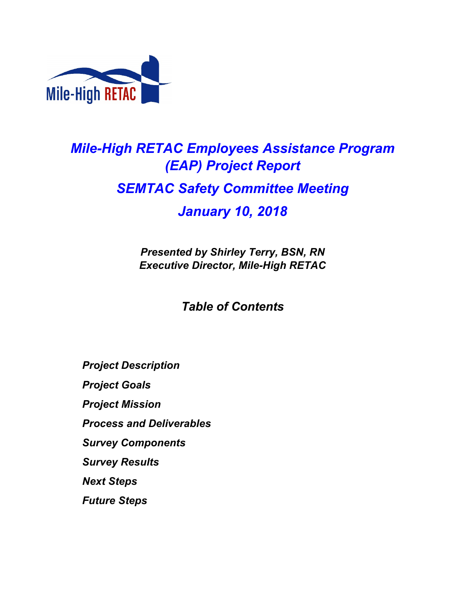

# *Mile-High RETAC Employees Assistance Program (EAP) Project Report SEMTAC Safety Committee Meeting January 10, 2018*

*Presented by Shirley Terry, BSN, RN Executive Director, Mile-High RETAC*

## *Table of Contents*

*Project Description Project Goals Project Mission Process and Deliverables Survey Components Survey Results Next Steps Future Steps*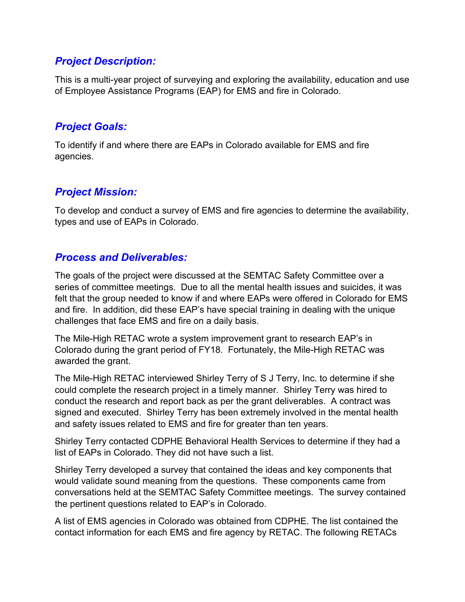#### *Project Description:*

This is a multi-year project of surveying and exploring the availability, education and use of Employee Assistance Programs (EAP) for EMS and fire in Colorado.

#### *Project Goals:*

To identify if and where there are EAPs in Colorado available for EMS and fire agencies.

### *Project Mission:*

To develop and conduct a survey of EMS and fire agencies to determine the availability, types and use of EAPs in Colorado.

#### *Process and Deliverables:*

The goals of the project were discussed at the SEMTAC Safety Committee over a series of committee meetings. Due to all the mental health issues and suicides, it was felt that the group needed to know if and where EAPs were offered in Colorado for EMS and fire. In addition, did these EAP's have special training in dealing with the unique challenges that face EMS and fire on a daily basis.

The Mile-High RETAC wrote a system improvement grant to research EAP's in Colorado during the grant period of FY18. Fortunately, the Mile-High RETAC was awarded the grant.

The Mile-High RETAC interviewed Shirley Terry of S J Terry, Inc. to determine if she could complete the research project in a timely manner. Shirley Terry was hired to conduct the research and report back as per the grant deliverables. A contract was signed and executed. Shirley Terry has been extremely involved in the mental health and safety issues related to EMS and fire for greater than ten years.

Shirley Terry contacted CDPHE Behavioral Health Services to determine if they had a list of EAPs in Colorado. They did not have such a list.

Shirley Terry developed a survey that contained the ideas and key components that would validate sound meaning from the questions. These components came from conversations held at the SEMTAC Safety Committee meetings. The survey contained the pertinent questions related to EAP's in Colorado.

A list of EMS agencies in Colorado was obtained from CDPHE. The list contained the contact information for each EMS and fire agency by RETAC. The following RETACs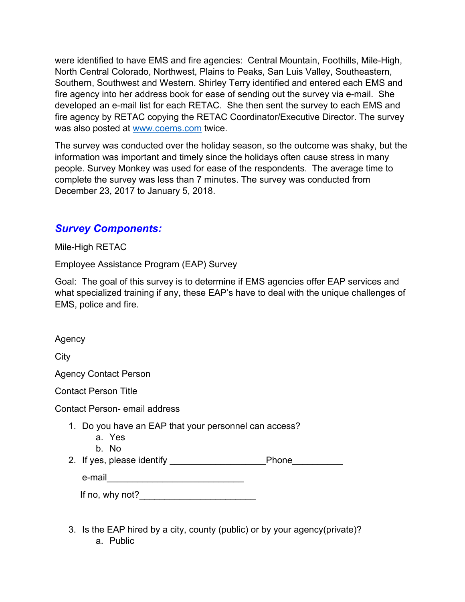were identified to have EMS and fire agencies: Central Mountain, Foothills, Mile-High, North Central Colorado, Northwest, Plains to Peaks, San Luis Valley, Southeastern, Southern, Southwest and Western. Shirley Terry identified and entered each EMS and fire agency into her address book for ease of sending out the survey via e-mail. She developed an e-mail list for each RETAC. She then sent the survey to each EMS and fire agency by RETAC copying the RETAC Coordinator/Executive Director. The survey was also posted at www.coems.com twice.

The survey was conducted over the holiday season, so the outcome was shaky, but the information was important and timely since the holidays often cause stress in many people. Survey Monkey was used for ease of the respondents. The average time to complete the survey was less than 7 minutes. The survey was conducted from December 23, 2017 to January 5, 2018.

#### *Survey Components:*

Mile-High RETAC

Employee Assistance Program (EAP) Survey

Goal: The goal of this survey is to determine if EMS agencies offer EAP services and what specialized training if any, these EAP's have to deal with the unique challenges of EMS, police and fire.

Agency

**City** 

Agency Contact Person

Contact Person Title

Contact Person- email address

- 1. Do you have an EAP that your personnel can access?
	- a. Yes
	- b. No
- 2. If yes, please identify example a phone

e-mail\_\_\_\_\_\_\_\_\_\_\_\_\_\_\_\_\_\_\_\_\_\_\_\_\_\_\_

| If no, why not? |  |  |
|-----------------|--|--|
|                 |  |  |

3. Is the EAP hired by a city, county (public) or by your agency(private)? a. Public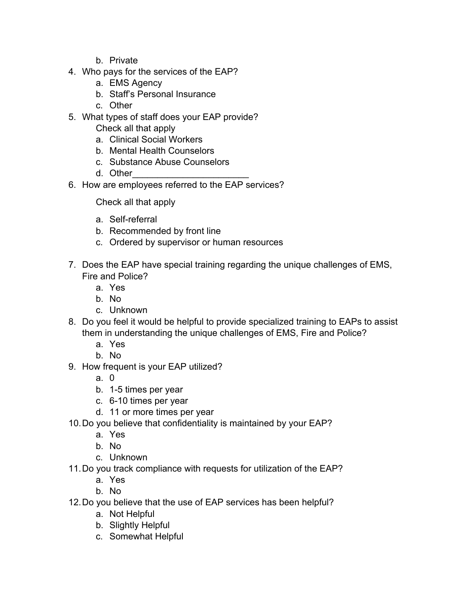- b. Private
- 4. Who pays for the services of the EAP?
	- a. EMS Agency
	- b. Staff's Personal Insurance
	- c. Other
- 5. What types of staff does your EAP provide? Check all that apply
	- a. Clinical Social Workers
	- b. Mental Health Counselors
	- c. Substance Abuse Counselors
	- d. Other\_\_\_\_\_\_\_\_\_\_\_\_\_\_\_\_\_\_\_\_\_\_\_
- 6. How are employees referred to the EAP services?

Check all that apply

- a. Self-referral
- b. Recommended by front line
- c. Ordered by supervisor or human resources
- 7. Does the EAP have special training regarding the unique challenges of EMS, Fire and Police?
	- a. Yes
	- b. No
	- c. Unknown
- 8. Do you feel it would be helpful to provide specialized training to EAPs to assist them in understanding the unique challenges of EMS, Fire and Police?
	- a. Yes
	- b. No
- 9. How frequent is your EAP utilized?
	- a. 0
	- b. 1-5 times per year
	- c. 6-10 times per year
	- d. 11 or more times per year
- 10.Do you believe that confidentiality is maintained by your EAP?
	- a. Yes
	- b. No
	- c. Unknown
- 11.Do you track compliance with requests for utilization of the EAP?
	- a. Yes
	- b. No
- 12.Do you believe that the use of EAP services has been helpful?
	- a. Not Helpful
	- b. Slightly Helpful
	- c. Somewhat Helpful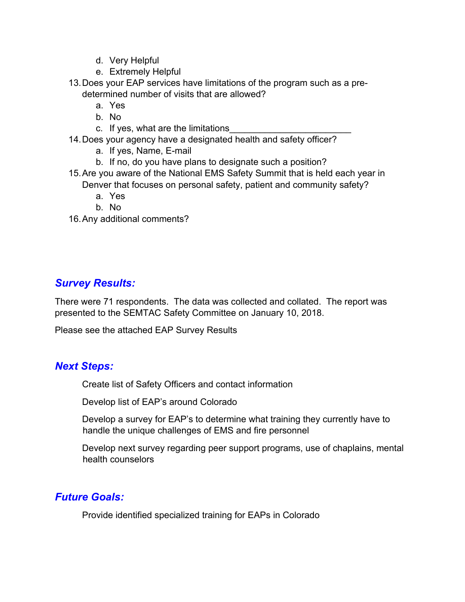- d. Very Helpful
- e. Extremely Helpful
- 13.Does your EAP services have limitations of the program such as a predetermined number of visits that are allowed?
	- a. Yes
	- b. No
	- c. If yes, what are the limitations
- 14.Does your agency have a designated health and safety officer?
	- a. If yes, Name, E-mail
	- b. If no, do you have plans to designate such a position?
- 15.Are you aware of the National EMS Safety Summit that is held each year in Denver that focuses on personal safety, patient and community safety?
	- a. Yes
	- b. No
- 16.Any additional comments?

#### *Survey Results:*

There were 71 respondents. The data was collected and collated. The report was presented to the SEMTAC Safety Committee on January 10, 2018.

Please see the attached EAP Survey Results

#### *Next Steps:*

Create list of Safety Officers and contact information

Develop list of EAP's around Colorado

Develop a survey for EAP's to determine what training they currently have to handle the unique challenges of EMS and fire personnel

Develop next survey regarding peer support programs, use of chaplains, mental health counselors

#### *Future Goals:*

Provide identified specialized training for EAPs in Colorado